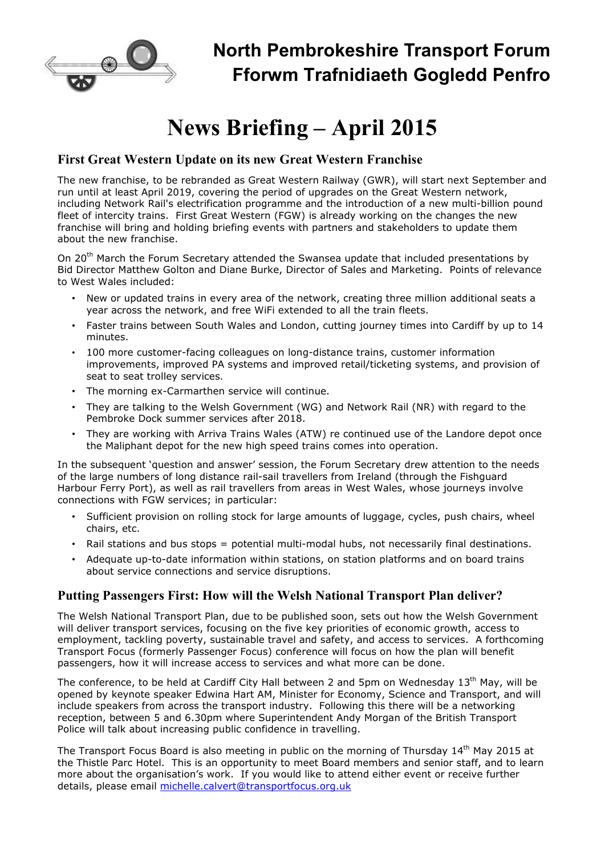

## **North Pembrokeshire Transport Forum Fforwm Trafnidiaeth Gogledd Penfro**

# **News Briefing – April 2015**

#### **First Great Western Update on its new Great Western Franchise**

The new franchise, to be rebranded as Great Western Railway (GWR), will start next September and run until at least April 2019, covering the period of upgrades on the Great Western network, including Network Rail's electrification programme and the introduction of a new multi-billion pound fleet of intercity trains. First Great Western (FGW) is already working on the changes the new franchise will bring and holding briefing events with partners and stakeholders to update them about the new franchise.

On 20<sup>th</sup> March the Forum Secretary attended the Swansea update that included presentations by Bid Director Matthew Golton and Diane Burke, Director of Sales and Marketing. Points of relevance to West Wales included:

- New or updated trains in every area of the network, creating three million additional seats a year across the network, and free WiFi extended to all the train fleets.
- Faster trains between South Wales and London, cutting journey times into Cardiff by up to 14 minutes.
- 100 more customer-facing colleagues on long-distance trains, customer information improvements, improved PA systems and improved retail/ticketing systems, and provision of seat to seat trolley services.
- The morning ex-Carmarthen service will continue.
- They are talking to the Welsh Government (WG) and Network Rail (NR) with regard to the Pembroke Dock summer services after 2018.
- They are working with Arriva Trains Wales (ATW) re continued use of the Landore depot once the Maliphant depot for the new high speed trains comes into operation.

In the subsequent 'question and answer' session, the Forum Secretary drew attention to the needs of the large numbers of long distance rail-sail travellers from Ireland (through the Fishguard Harbour Ferry Port), as well as rail travellers from areas in West Wales, whose journeys involve connections with FGW services; in particular:

- Sufficient provision on rolling stock for large amounts of luggage, cycles, push chairs, wheel chairs, etc.
- Rail stations and bus stops = potential multi-modal hubs, not necessarily final destinations.
- Adequate up-to-date information within stations, on station platforms and on board trains about service connections and service disruptions.

#### **Putting Passengers First: How will the Welsh National Transport Plan deliver?**

The Welsh National Transport Plan, due to be published soon, sets out how the Welsh Government will deliver transport services, focusing on the five key priorities of economic growth, access to employment, tackling poverty, sustainable travel and safety, and access to services. A forthcoming Transport Focus (formerly Passenger Focus) conference will focus on how the plan will benefit passengers, how it will increase access to services and what more can be done.

The conference, to be held at Cardiff City Hall between 2 and 5pm on Wednesday 13<sup>th</sup> May, will be opened by keynote speaker Edwina Hart AM, Minister for Economy, Science and Transport, and will include speakers from across the transport industry. Following this there will be a networking reception, between 5 and 6.30pm where Superintendent Andy Morgan of the British Transport Police will talk about increasing public confidence in travelling.

The Transport Focus Board is also meeting in public on the morning of Thursday 14<sup>th</sup> May 2015 at the Thistle Parc Hotel. This is an opportunity to meet Board members and senior staff, and to learn more about the organisation's work. If you would like to attend either event or receive further details, please email michelle.calvert@transportfocus.org.uk